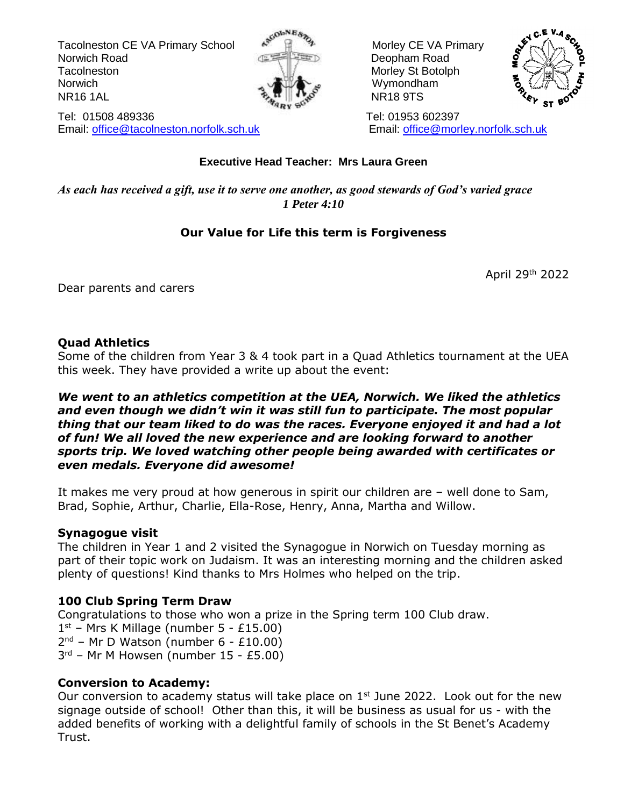Tacolneston CE VA Primary School  $\mathbb{R}^{\mathbb{N}}$   $\mathbb{R}^{\mathbb{N}}$  Morley CE VA Primary Norwich Road **Deopham Road Deopham Road** Tacolneston Morley St Botolph Morley St Botolph Norwich **Wymondham** NR16 1AL مَعْهَدٍ الْمَجَّةُ الْمَجْهَدِ الْمَجْهَدِ الْمَجْهَدِ الْمَجْهَدِ الْمَجْهَدِ الْمَجْهَدِ الْمَجْهَ





Tel: 01508 489336 Tel: 01953 602397 Email: [office@tacolneston.norfolk.sch.uk](mailto:office@tacolneston.norfolk.sch.uk) Email: [office@morley.norfolk.sch.uk](mailto:office@morley.norfolk.sch.uk) 

#### **Executive Head Teacher: Mrs Laura Green**

*As each has received a gift, use it to serve one another, as good stewards of God's varied grace 1 Peter 4:10*

#### **Our Value for Life this term is Forgiveness**

April 29<sup>th</sup> 2022

Dear parents and carers

#### **Quad Athletics**

Some of the children from Year 3 & 4 took part in a Quad Athletics tournament at the UEA this week. They have provided a write up about the event:

#### *We went to an athletics competition at the UEA, Norwich. We liked the athletics and even though we didn't win it was still fun to participate. The most popular thing that our team liked to do was the races. Everyone enjoyed it and had a lot of fun! We all loved the new experience and are looking forward to another sports trip. We loved watching other people being awarded with certificates or even medals. Everyone did awesome!*

It makes me very proud at how generous in spirit our children are – well done to Sam, Brad, Sophie, Arthur, Charlie, Ella-Rose, Henry, Anna, Martha and Willow.

#### **Synagogue visit**

The children in Year 1 and 2 visited the Synagogue in Norwich on Tuesday morning as part of their topic work on Judaism. It was an interesting morning and the children asked plenty of questions! Kind thanks to Mrs Holmes who helped on the trip.

#### **100 Club Spring Term Draw**

Congratulations to those who won a prize in the Spring term 100 Club draw. 1 st – Mrs K Millage (number 5 - £15.00)

 $2<sup>nd</sup>$  – Mr D Watson (number 6 - £10.00)

3 rd – Mr M Howsen (number 15 - £5.00)

#### **Conversion to Academy:**

Our conversion to academy status will take place on  $1<sup>st</sup>$  June 2022. Look out for the new signage outside of school! Other than this, it will be business as usual for us - with the added benefits of working with a delightful family of schools in the St Benet's Academy Trust.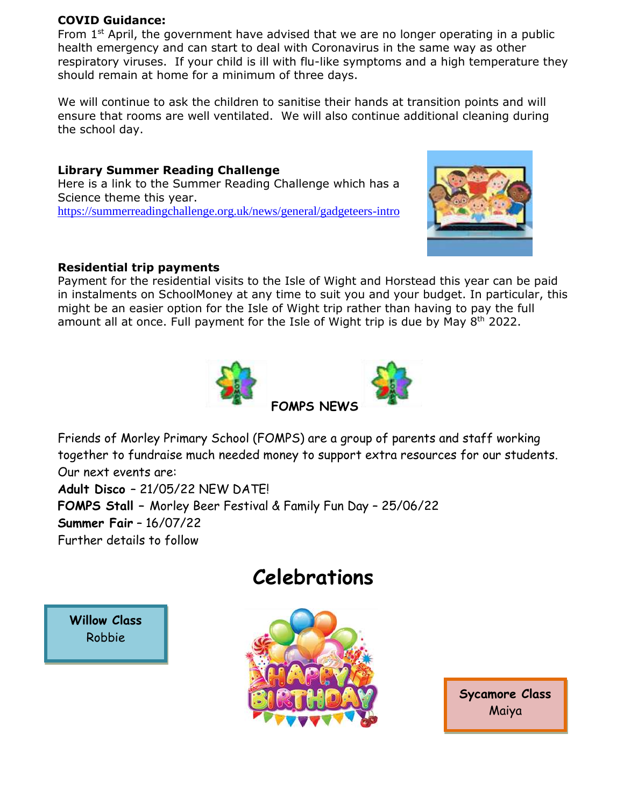#### **COVID Guidance:**

From  $1<sup>st</sup>$  April, the government have advised that we are no longer operating in a public health emergency and can start to deal with Coronavirus in the same way as other respiratory viruses. If your child is ill with flu-like symptoms and a high temperature they should remain at home for a minimum of three days.

We will continue to ask the children to sanitise their hands at transition points and will ensure that rooms are well ventilated. We will also continue additional cleaning during the school day.

**Library Summer Reading Challenge** Here is a link to the Summer Reading Challenge which has a Science theme this year. <https://summerreadingchallenge.org.uk/news/general/gadgeteers-intro>



#### **Residential trip payments**

Payment for the residential visits to the Isle of Wight and Horstead this year can be paid in instalments on SchoolMoney at any time to suit you and your budget. In particular, this might be an easier option for the Isle of Wight trip rather than having to pay the full amount all at once. Full payment for the Isle of Wight trip is due by May  $8<sup>th</sup>$  2022.



Friends of Morley Primary School (FOMPS) are a group of parents and staff working together to fundraise much needed money to support extra resources for our students. Our next events are: **Adult Disco** – 21/05/22 NEW DATE! **FOMPS Stall –** Morley Beer Festival & Family Fun Day – 25/06/22 **Summer Fair** – 16/07/22 Further details to follow

## **Celebrations**

**Willow Class** Robbie



**Sycamore Class** Maiya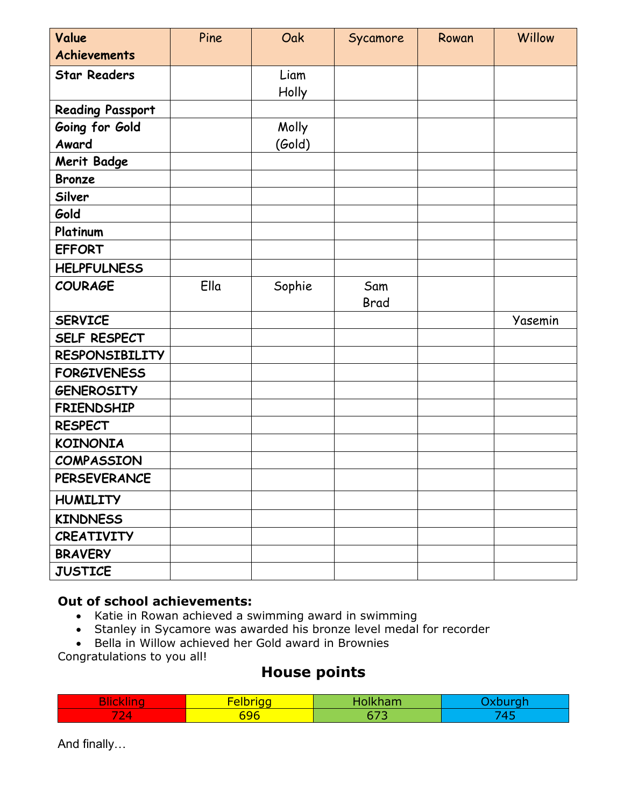| Value                   | Pine | Oak    | Sycamore           | Rowan | Willow  |
|-------------------------|------|--------|--------------------|-------|---------|
| <b>Achievements</b>     |      |        |                    |       |         |
| <b>Star Readers</b>     |      | Liam   |                    |       |         |
|                         |      | Holly  |                    |       |         |
| <b>Reading Passport</b> |      |        |                    |       |         |
| Going for Gold          |      | Molly  |                    |       |         |
| Award                   |      | (Gold) |                    |       |         |
| <b>Merit Badge</b>      |      |        |                    |       |         |
| <b>Bronze</b>           |      |        |                    |       |         |
| Silver                  |      |        |                    |       |         |
| Gold                    |      |        |                    |       |         |
| Platinum                |      |        |                    |       |         |
| <b>EFFORT</b>           |      |        |                    |       |         |
| <b>HELPFULNESS</b>      |      |        |                    |       |         |
| <b>COURAGE</b>          | Ella | Sophie | Sam<br><b>Brad</b> |       |         |
| <b>SERVICE</b>          |      |        |                    |       | Yasemin |
| SELF RESPECT            |      |        |                    |       |         |
| <b>RESPONSIBILITY</b>   |      |        |                    |       |         |
| <b>FORGIVENESS</b>      |      |        |                    |       |         |
| <b>GENEROSITY</b>       |      |        |                    |       |         |
| <b>FRIENDSHIP</b>       |      |        |                    |       |         |
| <b>RESPECT</b>          |      |        |                    |       |         |
| <b>KOINONIA</b>         |      |        |                    |       |         |
| <b>COMPASSION</b>       |      |        |                    |       |         |
| <b>PERSEVERANCE</b>     |      |        |                    |       |         |
| <b>HUMILITY</b>         |      |        |                    |       |         |
| <b>KINDNESS</b>         |      |        |                    |       |         |
| <b>CREATIVITY</b>       |      |        |                    |       |         |
| <b>BRAVERY</b>          |      |        |                    |       |         |
| <b>JUSTICE</b>          |      |        |                    |       |         |

#### **Out of school achievements:**

- Katie in Rowan achieved a swimming award in swimming
- Stanley in Sycamore was awarded his bronze level medal for recorder
- Bella in Willow achieved her Gold award in Brownies

Congratulations to you all!

### **House points**

|                                      | <u>no matematika kuning a</u><br><b>SALE OF AN</b><br>-- | <b>The State of Contract</b><br>wan. |  |
|--------------------------------------|----------------------------------------------------------|--------------------------------------|--|
| $\rightarrow$<br>łД<br>$\sim$<br>. . | $\sim$<br>596                                            |                                      |  |

And finally…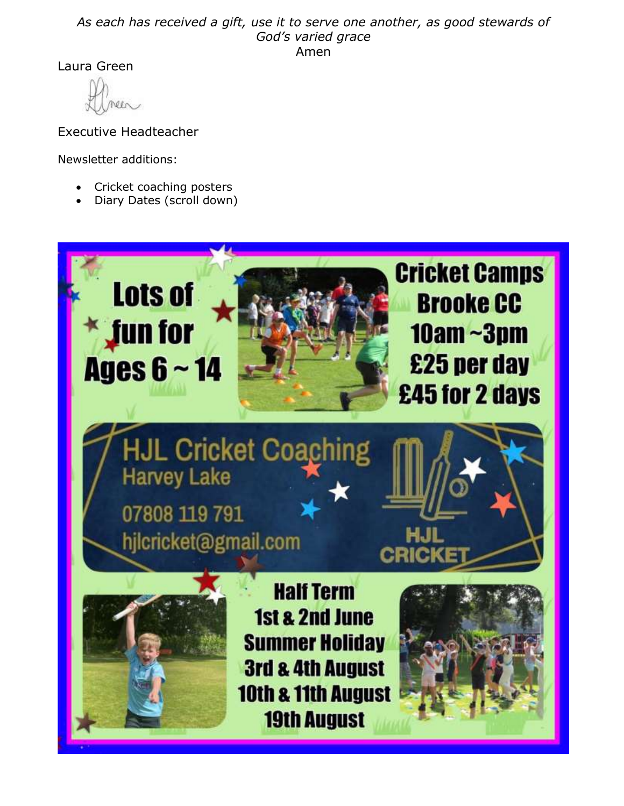#### *As each has received a gift, use it to serve one another, as good stewards of God's varied grace* Amen

Laura Green

Executive Headteacher

Newsletter additions:

- Cricket coaching posters
- Diary Dates (scroll down)

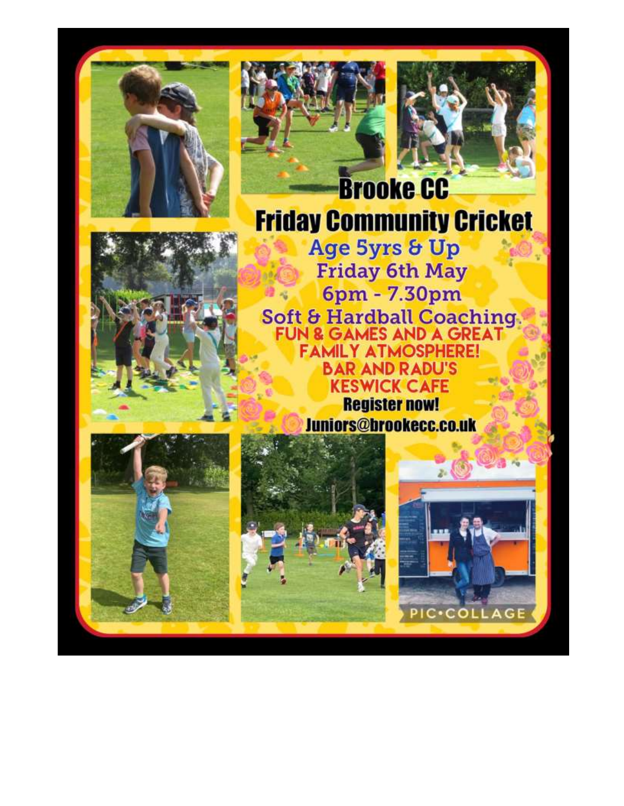





**Brooke CC Friday Community Cricket** 

Age 5yrs & Up **Friday 6th May** 6pm - 7.30pm Soft & Hardball Coaching **FAMILY ATMOSPHERE! BAR AND RADU'S KESWICK CAFE Register now!** Juniors@brookecc.co.uk